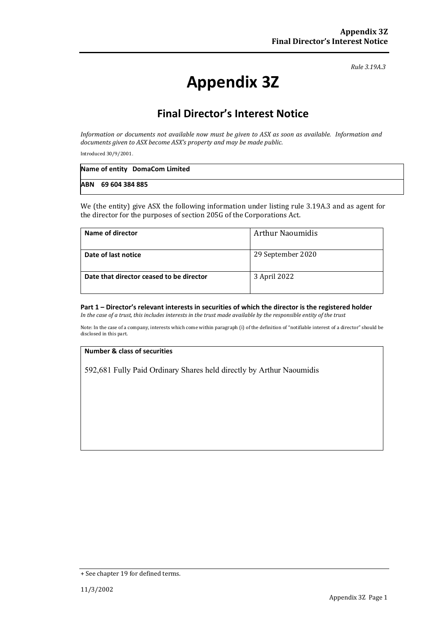*Rule 3.19A.3*

# **Appendix 3Z**

## **Final Director's Interest Notice**

*Information or documents not available now must be given to ASX as soon as available. Information and documents given to ASX become ASX's property and may be made public.*

Introduced 30/9/2001.

| Name of entity DomaCom Limited |
|--------------------------------|
| ABN 69 604 384 885             |

We (the entity) give ASX the following information under listing rule 3.19A.3 and as agent for the director for the purposes of section 205G of the Corporations Act.

| Name of director                         | <b>Arthur Naoumidis</b> |
|------------------------------------------|-------------------------|
| Date of last notice                      | 29 September 2020       |
| Date that director ceased to be director | 3 April 2022            |

#### **Part 1 – Director's relevant interests in securities of which the director is the registered holder** *In the case of a trust, this includes interests in the trust made available by the responsible entity of the trust*

Note: In the case of a company, interests which come within paragraph (i) of the definition of "notifiable interest of a director" should be disclosed in this part.

#### **Number & class of securities**

592,681 Fully Paid Ordinary Shares held directly by Arthur Naoumidis

<sup>+</sup> See chapter 19 for defined terms.